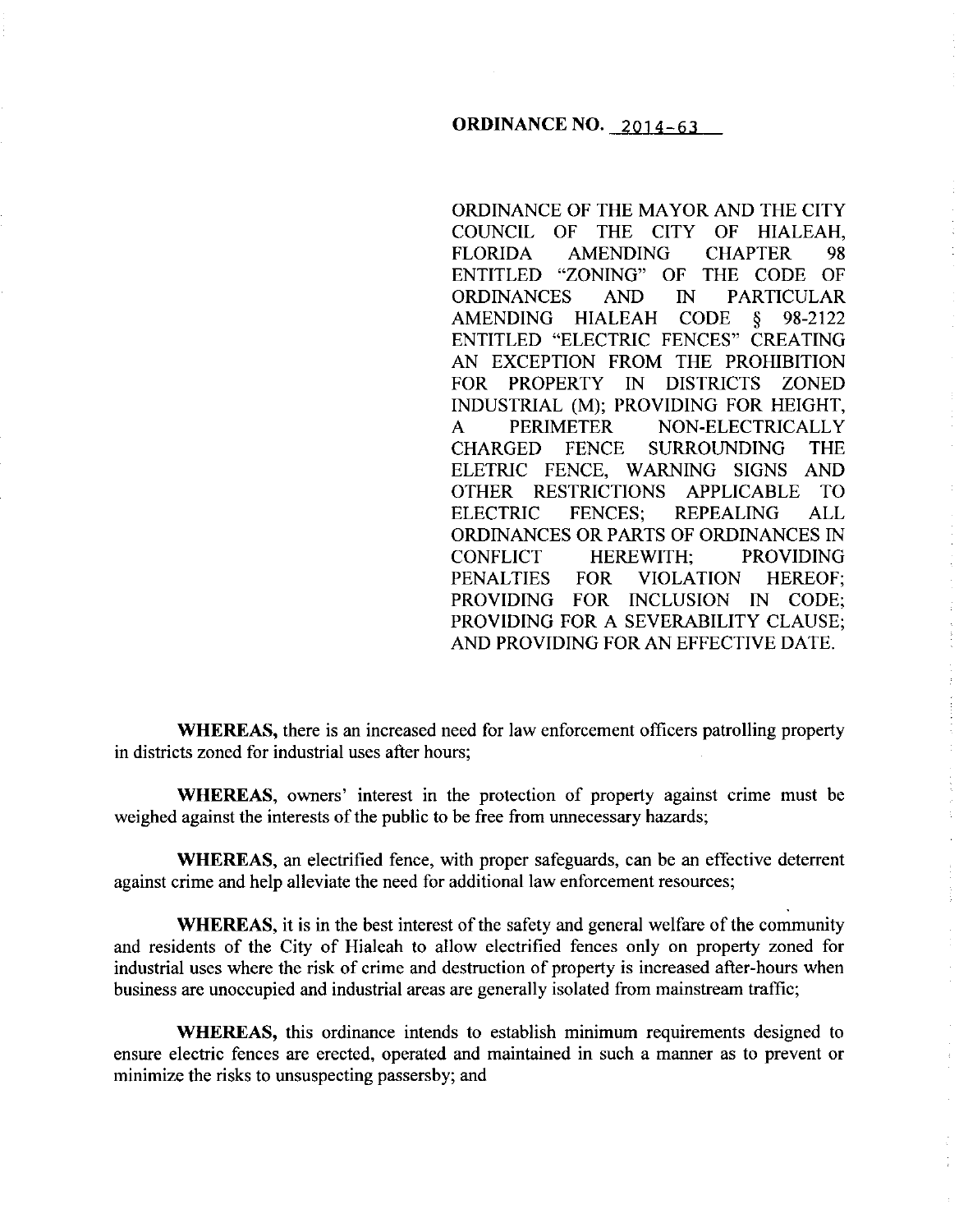## **ORDINANCE NO.** 2014-63

ORDINANCE OF THE MAYOR AND THE CITY COUNCIL OF THE CITY OF HIALEAH, FLORIDA AMENDING CHAPTER 98 ENTITLED "ZONING" OF THE CODE OF ORDINANCES AND IN PARTICULAR AMENDING HIALEAH CODE § 98-2122 ENTITLED "ELECTRIC FENCES" CREATING AN EXCEPTION FROM THE PROHIBITION FOR PROPERTY IN DISTRICTS ZONED INDUSTRIAL (M); PROVIDING FOR HEIGHT, A PERIMETER NON-ELECTRICALLY CHARGED FENCE SURROUNDING THE ELETRIC FENCE, WARNING SIGNS AND OTHER RESTRICTIONS APPLICABLE TO ELECTRIC FENCES; REPEALING ALL ORDINANCES OR PARTS OF ORDINANCES IN CONFLICT HEREWITH; PROVIDING PENALTIES FOR VIOLATION HEREOF; PROVIDING FOR INCLUSION IN CODE; PROVIDING FOR A SEVERABILITY CLAUSE; AND PROVIDING FOR AN EFFECTIVE DATE.

**WHEREAS,** there is an increased need for law enforcement officers patrolling property in districts zoned for industrial uses after hours;

**WHEREAS,** owners' interest in the protection of property against crime must be weighed against the interests of the public to be free from unnecessary hazards;

**WHEREAS,** an electrified fence, with proper safeguards, can be an effective deterrent against crime and help alleviate the need for additional law enforcement resources;

**WHEREAS,** it is in the best interest of the safety and general welfare of the community and residents of the City of Hialeah to allow electrified fences only on property zoned for industrial uses where the risk of crime and destruction of property is increased after-hours when business are unoccupied and industrial areas are generally isolated from mainstream traffic;

**WHEREAS,** this ordinance intends to establish minimum requirements designed to ensure electric fences are erected, operated and maintained in such a manner as to prevent or minimize the risks to unsuspecting passersby; and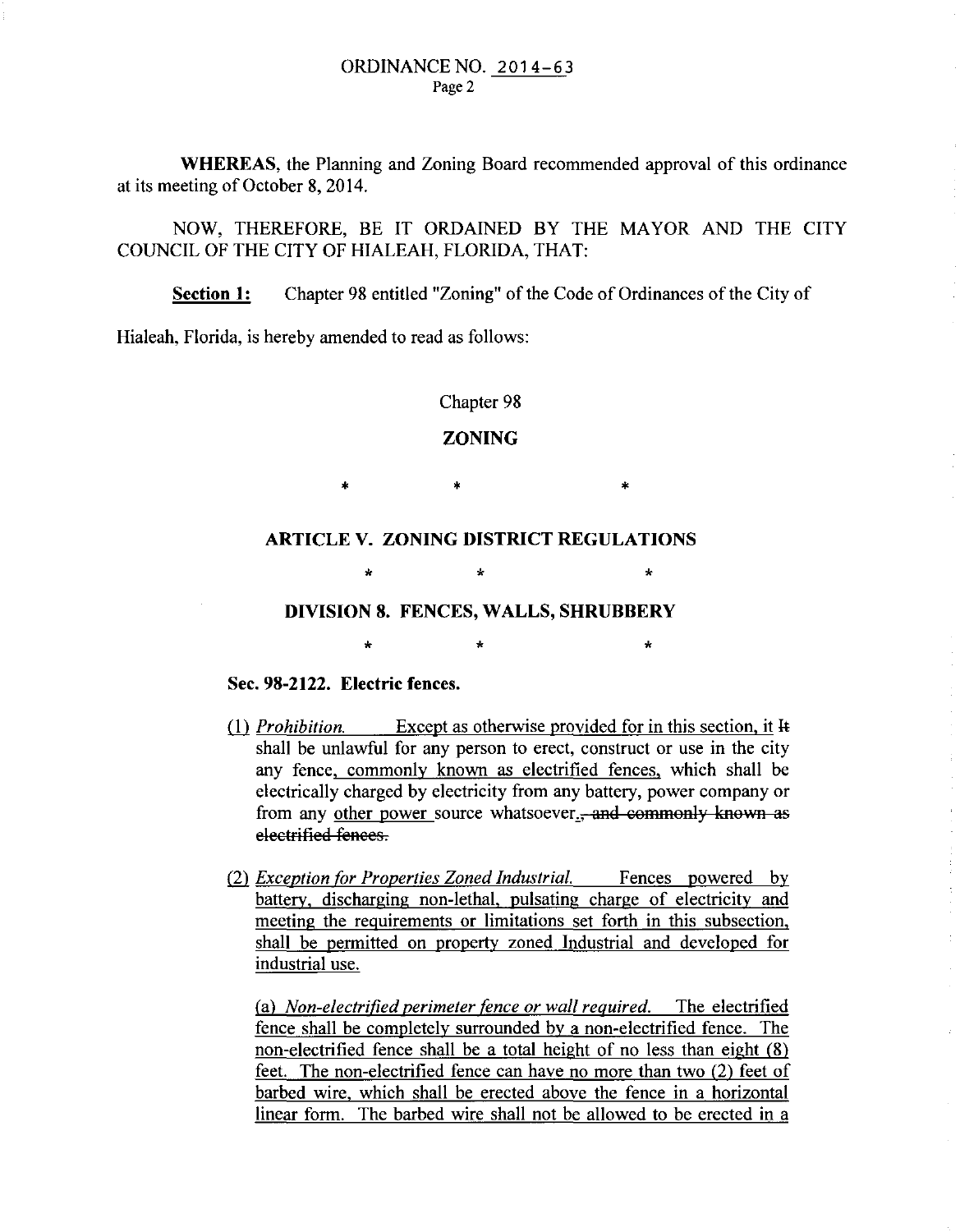**WHEREAS,** the Planning and Zoning Board recommended approval of this ordinance at its meeting of October 8, 2014.

NOW, THEREFORE, BE IT ORDAINED BY THE MAYOR AND THE CITY COUNCIL OF THE CITY OF HIALEAH, FLORIDA, THAT:

**Section 1:** Chapter 98 entitled "Zoning" of the Code of Ordinances of the City of

Hialeah, Florida, is hereby amended to read as follows:

### Chapter 98

## **ZONING**

\* • \*

**ARTICLE V. ZONING DISTRICT REGULATIONS** 

 $\star$   $\star$   $\star$ 

# **DIVISION 8. FENCES, WALLS, SHRUBBERY**

 $\star$   $\star$   $\star$ 

## **Sec. 98-2122. Electric fences.**

- (1) *Prohibition.* Except as otherwise provided for in this section, it It shall be unlawful for any person to erect, construct or use in the city any fence, commonly known as electrified fences, which shall be electrically charged by electricity from any battery, power company or from any other power source whatsoever., and commonly known as eleetrified tenees.
- (2) *Exception for Properties Zoned Industrial.* Fences powered by battery, discharging non-lethal, pulsating charge of electricity and meeting the requirements or limitations set forth in this subsection, shall be permitted on property zoned Industrial and developed for industrial use.

à,

(a) *Non-electrified perimeter <u>fence</u> or wall required.* The electrified fence shall be completely surrounded by a non-electrified fence. The non-electrified fence shall be a total height of no less than eight (8) feet. The non-electrified fence can have no more than two (2) feet of barbed wire, which shall be erected above the fence in a horizontal linear form. The barbed wire shall not be allowed to be erected in a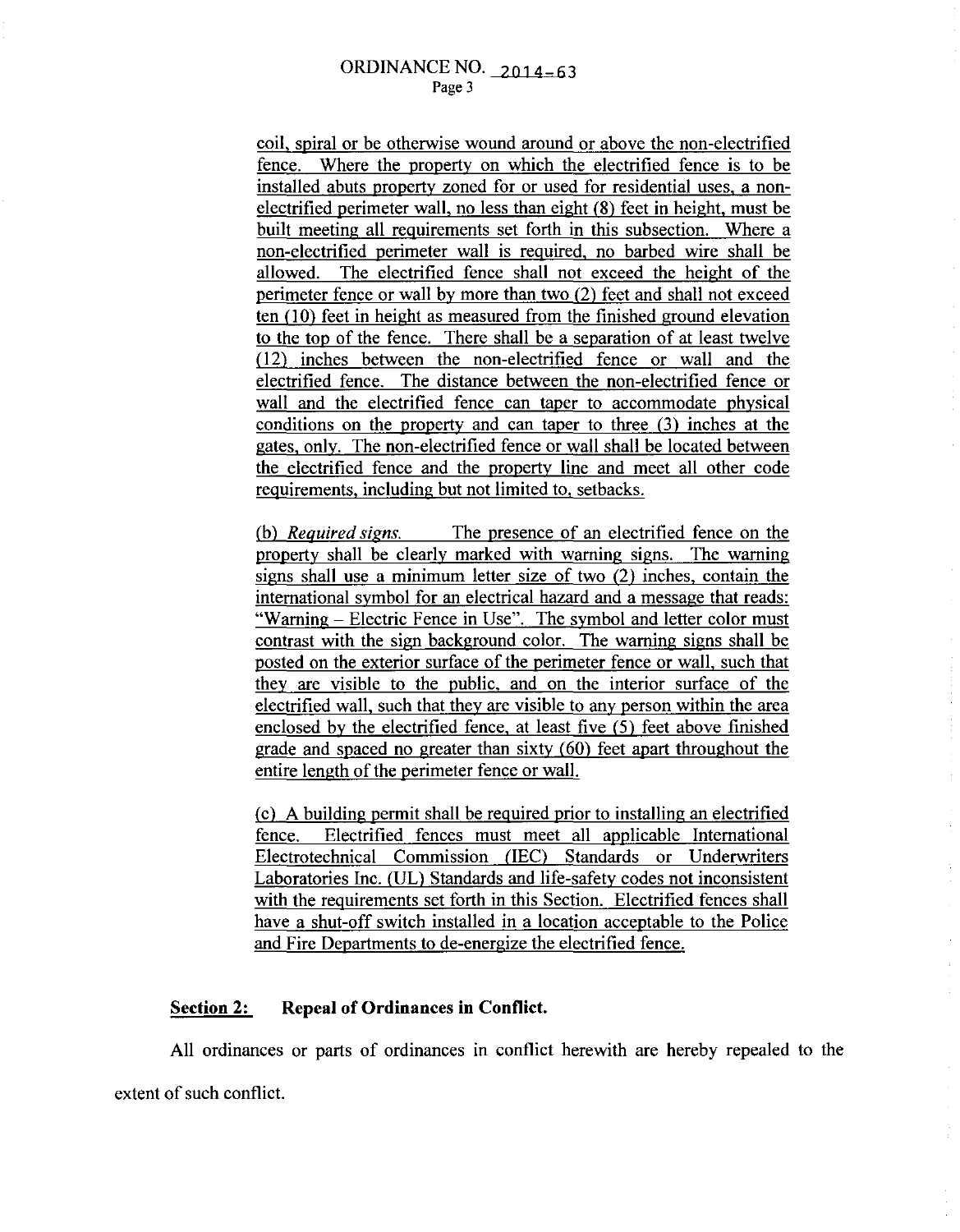coil, spiral or be otherwise wound around or above the non-electrified fence. Where the property on which the electrified fence is to be installed abuts property zoned for or used for residential uses, a nonelectrified perimeter wall, no less than eight (8) feet in height, must be built meeting all requirements set forth in this subsection. Where a non-electrified perimeter wall is required, no barbed wire shall be allowed. The electrified fence shall not exceed the height of the perimeter fence or wall by more than two (2) feet and shall not exceed ten (10) feet in height as measured from the finished ground elevation to the top of the fence. There shall be a separation of at least twelve (12) inches between the non-electrified fence or wall and the electrified fence. The distance between the non-electrified fence or wall and the electrified fence can taper to accommodate physical conditions on the property and can taper to three (3) inches at the gates, only. The non-electrified fence or wall shall be located between the electrified fence and the property line and meet all other code requirements, including but not limited to, setbacks.

(b) *Required signs.* The presence of an electrified fence on the property shall be clearly marked with warning signs. The warning signs shall use a minimum letter size of two (2) inches, contain the international symbol for an electrical hazard and a message that reads: "Warning- Electric Fence in Use". The symbol and letter color must contrast with the sign background color. The warning signs shall be posted on the exterior surface of the perimeter fence or wall, such that they are visible to the public, and on the interior surface of the electrified wall, such that they are visible to any person within the area enclosed by the electrified fence, at least five (5) feet above finished grade and spaced no greater than sixty (60) feet apart throughout the entire length of the perimeter fence or wall.

(c) A building permit shall be required prior to installing an electrified fence. Electrified fences must meet all applicable International Electrotechnical Commission (IEC) Standards or Underwriters Laboratories Inc. (UL) Standards and life-safety codes not inconsistent with the requirements set forth in this Section. Electrified fences shall have a shut-off switch installed in a location acceptable to the Police and Fire Departments to de-energize the electrified fence.

#### **Section 2: Repeal of Ordinances in Conflict.**

All ordinances or parts of ordinances in conflict herewith are hereby repealed to the extent of such conflict.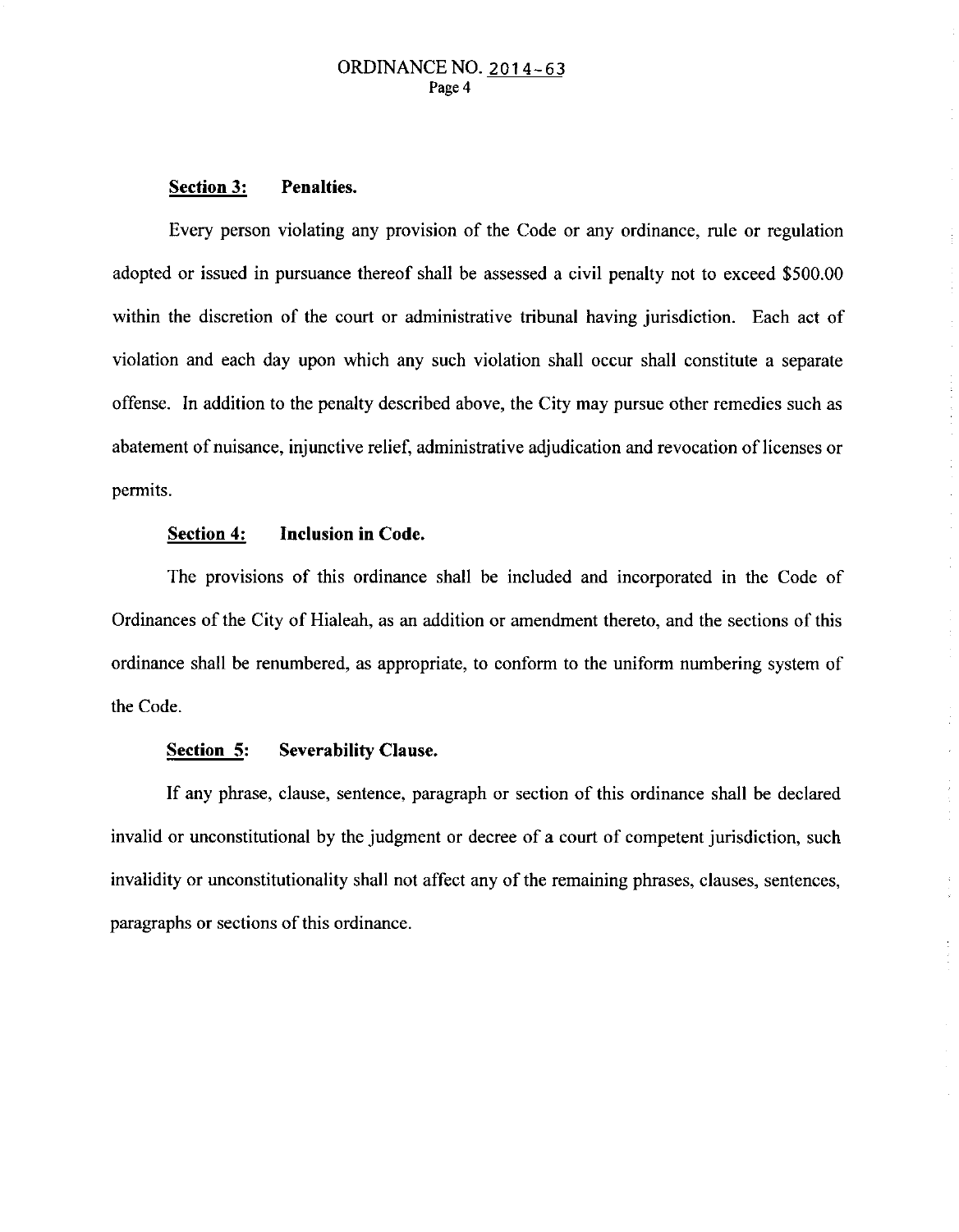#### **Section 3: Penalties.**

Every person violating any provision of the Code or any ordinance, rule or regulation adopted or issued in pursuance thereof shall be assessed a civil penalty not to exceed \$500.00 within the discretion of the court or administrative tribunal having jurisdiction. Each act of violation and each day upon which any such violation shall occur shall constitute a separate offense. In addition to the penalty described above, the City may pursue other remedies such as abatement of nuisance, injunctive relief, administrative adjudication and revocation of licenses or permits.

## **Section 4: Inclusion in Code.**

The provisions of this ordinance shall be included and incorporated in the Code of Ordinances of the City of Hialeah, as an addition or amendment thereto, and the sections of this ordinance shall be renumbered, as appropriate, to conform to the uniform numbering system of the Code.

 $\mathcal{L}$ 

### **Section 5: Severability Clause.**

If any phrase, clause, sentence, paragraph or section of this ordinance shall be declared invalid or unconstitutional by the judgment or decree of a court of competent jurisdiction, such invalidity or unconstitutionality shall not affect any of the remaining phrases, clauses, sentences, paragraphs or sections of this ordinance.